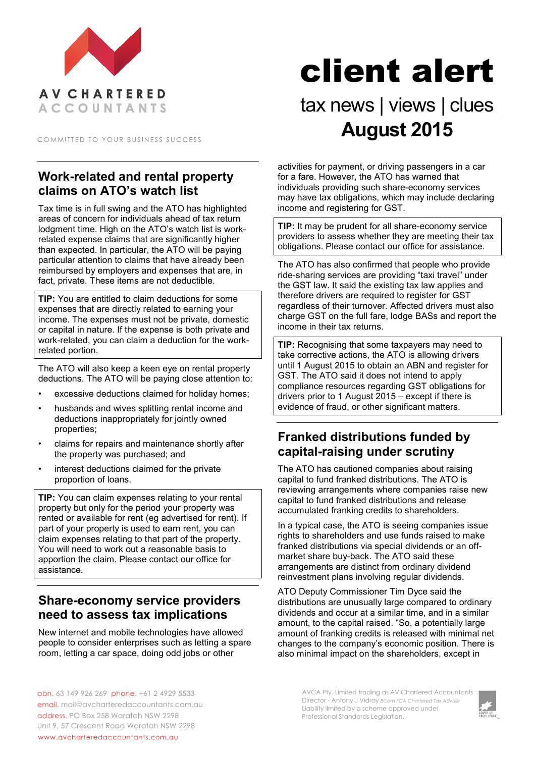

COMMITTED TO YOUR BUSINESS SUCCESS

# **Work-related and rental property claims on ATO's watch list**

Tax time is in full swing and the ATO has highlighted areas of concern for individuals ahead of tax return lodgment time. High on the ATO's watch list is workrelated expense claims that are significantly higher than expected. In particular, the ATO will be paying particular attention to claims that have already been reimbursed by employers and expenses that are, in fact, private. These items are not deductible.

**TIP:** You are entitled to claim deductions for some expenses that are directly related to earning your income. The expenses must not be private, domestic or capital in nature. If the expense is both private and work-related, you can claim a deduction for the workrelated portion.

The ATO will also keep a keen eye on rental property deductions. The ATO will be paying close attention to:

- excessive deductions claimed for holiday homes;
- husbands and wives splitting rental income and deductions inappropriately for jointly owned properties;
- claims for repairs and maintenance shortly after the property was purchased; and
- interest deductions claimed for the private proportion of loans.

**TIP:** You can claim expenses relating to your rental property but only for the period your property was rented or available for rent (eg advertised for rent). If part of your property is used to earn rent, you can claim expenses relating to that part of the property. You will need to work out a reasonable basis to apportion the claim. Please contact our office for assistance.

## **Share-economy service providers need to assess tax implications**

New internet and mobile technologies have allowed people to consider enterprises such as letting a spare room, letting a car space, doing odd jobs or other

# client alert

# tax news | views | clues **August 2015**

activities for payment, or driving passengers in a car for a fare. However, the ATO has warned that individuals providing such share-economy services may have tax obligations, which may include declaring income and registering for GST.

**TIP:** It may be prudent for all share-economy service providers to assess whether they are meeting their tax obligations. Please contact our office for assistance.

The ATO has also confirmed that people who provide ride-sharing services are providing "taxi travel" under the GST law. It said the existing tax law applies and therefore drivers are required to register for GST regardless of their turnover. Affected drivers must also charge GST on the full fare, lodge BASs and report the income in their tax returns.

**TIP:** Recognising that some taxpayers may need to take corrective actions, the ATO is allowing drivers until 1 August 2015 to obtain an ABN and register for GST. The ATO said it does not intend to apply compliance resources regarding GST obligations for drivers prior to 1 August 2015 – except if there is evidence of fraud, or other significant matters.

# **Franked distributions funded by capital-raising under scrutiny**

The ATO has cautioned companies about raising capital to fund franked distributions. The ATO is reviewing arrangements where companies raise new capital to fund franked distributions and release accumulated franking credits to shareholders.

In a typical case, the ATO is seeing companies issue rights to shareholders and use funds raised to make franked distributions via special dividends or an offmarket share buy-back. The ATO said these arrangements are distinct from ordinary dividend reinvestment plans involving regular dividends.

ATO Deputy Commissioner Tim Dyce said the distributions are unusually large compared to ordinary dividends and occur at a similar time, and in a similar amount, to the capital raised. "So, a potentially large amount of franking credits is released with minimal net changes to the company's economic position. There is also minimal impact on the shareholders, except in

> AVCA Pty. Limited trading as AV Chartered Accountants Director - Antony J Vidray *BCom FCA Chartered Tax Adviser* Liability limited by a scheme approved under Professional Standards Legislation.



abn. 63 149 926 269 phone. +61 2 4929 5533 email. mail@avcharteredaccountants.com.au address. PO Box 258 Waratah NSW 2298 Unit 9, 57 Crescent Road Waratah NSW 2298 www.avcharteredaccountants.com.au